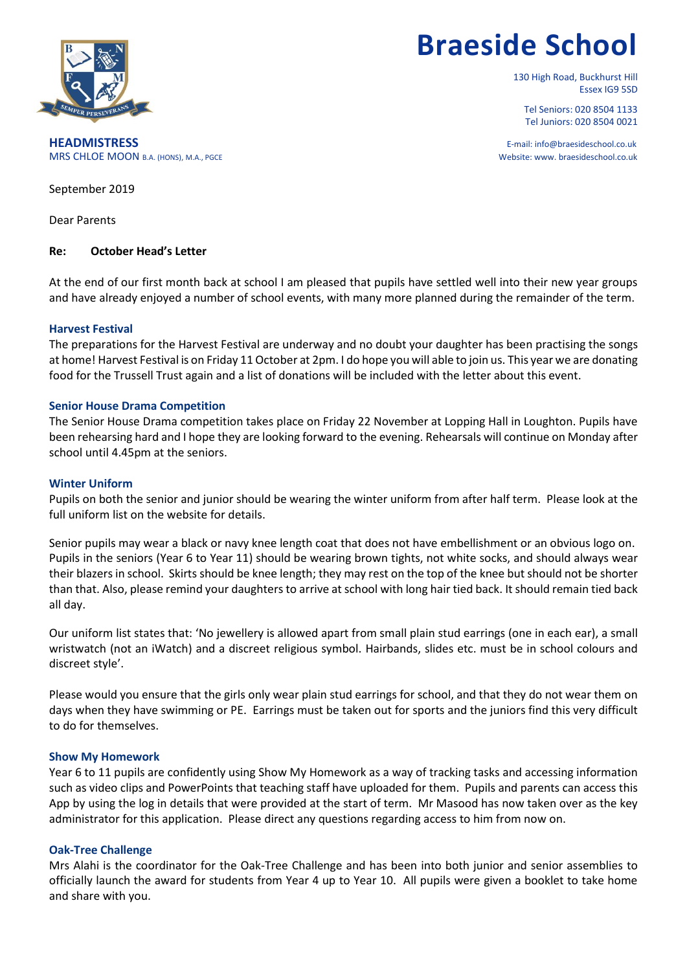

# **Braeside School**

130 High Road, Buckhurst Hill Essex IG9 5SD

Tel Seniors: 020 8504 1133 Tel Juniors: 020 8504 0021

**HEADMISTRESS** E-mail: info@braesideschool.co.uk MRS CHLOE MOON B.A. (HONS), M.A., PGCE WEBSITE: WAS CHLOE MOON B.A. (HONS), M.A., PGCE

September 2019

Dear Parents

## **Re: October Head's Letter**

At the end of our first month back at school I am pleased that pupils have settled well into their new year groups and have already enjoyed a number of school events, with many more planned during the remainder of the term.

## **Harvest Festival**

The preparations for the Harvest Festival are underway and no doubt your daughter has been practising the songs at home! Harvest Festival is on Friday 11 October at 2pm. I do hope you will able to join us. This year we are donating food for the Trussell Trust again and a list of donations will be included with the letter about this event.

## **Senior House Drama Competition**

The Senior House Drama competition takes place on Friday 22 November at Lopping Hall in Loughton. Pupils have been rehearsing hard and I hope they are looking forward to the evening. Rehearsals will continue on Monday after school until 4.45pm at the seniors.

### **Winter Uniform**

Pupils on both the senior and junior should be wearing the winter uniform from after half term. Please look at the full uniform list on the website for details.

Senior pupils may wear a black or navy knee length coat that does not have embellishment or an obvious logo on. Pupils in the seniors (Year 6 to Year 11) should be wearing brown tights, not white socks, and should always wear their blazers in school. Skirts should be knee length; they may rest on the top of the knee but should not be shorter than that. Also, please remind your daughters to arrive at school with long hair tied back. It should remain tied back all day.

Our uniform list states that: 'No jewellery is allowed apart from small plain stud earrings (one in each ear), a small wristwatch (not an iWatch) and a discreet religious symbol. Hairbands, slides etc. must be in school colours and discreet style'.

Please would you ensure that the girls only wear plain stud earrings for school, and that they do not wear them on days when they have swimming or PE. Earrings must be taken out for sports and the juniors find this very difficult to do for themselves.

## **Show My Homework**

Year 6 to 11 pupils are confidently using Show My Homework as a way of tracking tasks and accessing information such as video clips and PowerPoints that teaching staff have uploaded for them. Pupils and parents can access this App by using the log in details that were provided at the start of term. Mr Masood has now taken over as the key administrator for this application. Please direct any questions regarding access to him from now on.

## **Oak-Tree Challenge**

Mrs Alahi is the coordinator for the Oak-Tree Challenge and has been into both junior and senior assemblies to officially launch the award for students from Year 4 up to Year 10. All pupils were given a booklet to take home and share with you.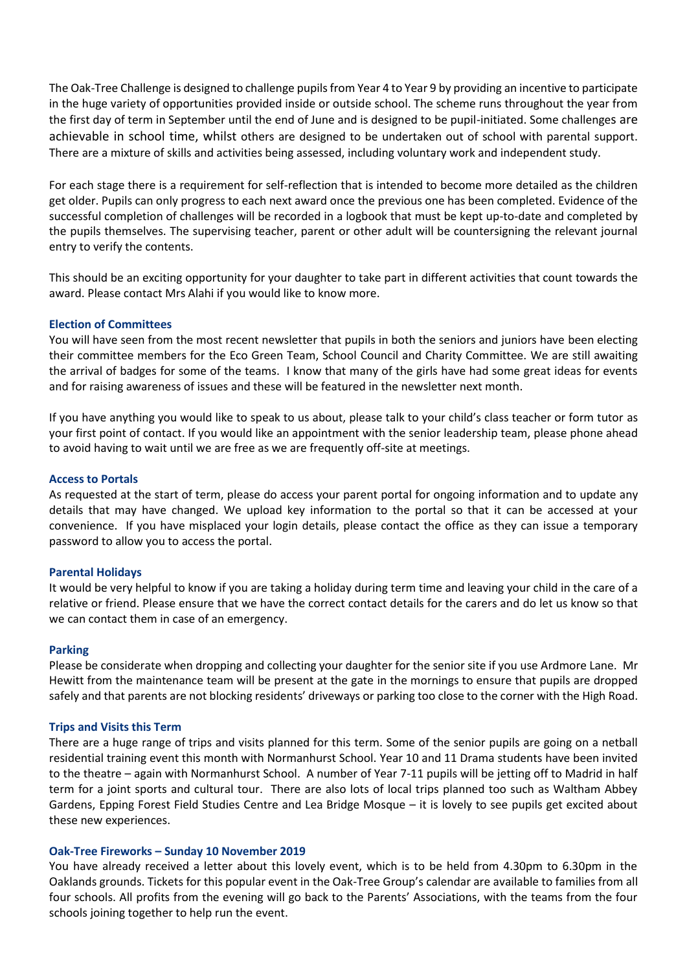The Oak-Tree Challenge is designed to challenge pupils from Year 4 to Year 9 by providing an incentive to participate in the huge variety of opportunities provided inside or outside school. The scheme runs throughout the year from the first day of term in September until the end of June and is designed to be pupil-initiated. Some challenges are achievable in school time, whilst others are designed to be undertaken out of school with parental support. There are a mixture of skills and activities being assessed, including voluntary work and independent study.

For each stage there is a requirement for self-reflection that is intended to become more detailed as the children get older. Pupils can only progress to each next award once the previous one has been completed. Evidence of the successful completion of challenges will be recorded in a logbook that must be kept up-to-date and completed by the pupils themselves. The supervising teacher, parent or other adult will be countersigning the relevant journal entry to verify the contents.

This should be an exciting opportunity for your daughter to take part in different activities that count towards the award. Please contact Mrs Alahi if you would like to know more.

## **Election of Committees**

You will have seen from the most recent newsletter that pupils in both the seniors and juniors have been electing their committee members for the Eco Green Team, School Council and Charity Committee. We are still awaiting the arrival of badges for some of the teams. I know that many of the girls have had some great ideas for events and for raising awareness of issues and these will be featured in the newsletter next month.

If you have anything you would like to speak to us about, please talk to your child's class teacher or form tutor as your first point of contact. If you would like an appointment with the senior leadership team, please phone ahead to avoid having to wait until we are free as we are frequently off-site at meetings.

#### **Access to Portals**

As requested at the start of term, please do access your parent portal for ongoing information and to update any details that may have changed. We upload key information to the portal so that it can be accessed at your convenience. If you have misplaced your login details, please contact the office as they can issue a temporary password to allow you to access the portal.

#### **Parental Holidays**

It would be very helpful to know if you are taking a holiday during term time and leaving your child in the care of a relative or friend. Please ensure that we have the correct contact details for the carers and do let us know so that we can contact them in case of an emergency.

#### **Parking**

Please be considerate when dropping and collecting your daughter for the senior site if you use Ardmore Lane. Mr Hewitt from the maintenance team will be present at the gate in the mornings to ensure that pupils are dropped safely and that parents are not blocking residents' driveways or parking too close to the corner with the High Road.

#### **Trips and Visits this Term**

There are a huge range of trips and visits planned for this term. Some of the senior pupils are going on a netball residential training event this month with Normanhurst School. Year 10 and 11 Drama students have been invited to the theatre – again with Normanhurst School. A number of Year 7-11 pupils will be jetting off to Madrid in half term for a joint sports and cultural tour. There are also lots of local trips planned too such as Waltham Abbey Gardens, Epping Forest Field Studies Centre and Lea Bridge Mosque – it is lovely to see pupils get excited about these new experiences.

#### **Oak-Tree Fireworks – Sunday 10 November 2019**

You have already received a letter about this lovely event, which is to be held from 4.30pm to 6.30pm in the Oaklands grounds. Tickets for this popular event in the Oak-Tree Group's calendar are available to families from all four schools. All profits from the evening will go back to the Parents' Associations, with the teams from the four schools joining together to help run the event.